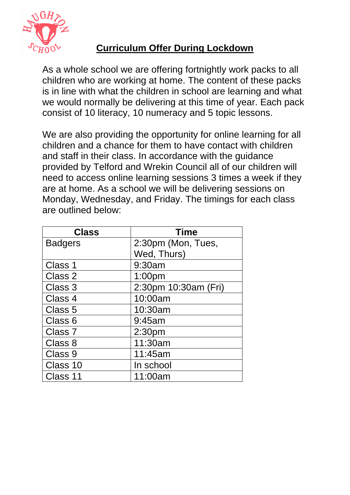

## **Curriculum Offer During Lockdown**

As a whole school we are offering fortnightly work packs to all children who are working at home. The content of these packs is in line with what the children in school are learning and what we would normally be delivering at this time of year. Each pack consist of 10 literacy, 10 numeracy and 5 topic lessons.

We are also providing the opportunity for online learning for all children and a chance for them to have contact with children and staff in their class. In accordance with the guidance provided by Telford and Wrekin Council all of our children will need to access online learning sessions 3 times a week if they are at home. As a school we will be delivering sessions on Monday, Wednesday, and Friday. The timings for each class are outlined below:

| <b>Class</b>   | <b>Time</b>          |
|----------------|----------------------|
| <b>Badgers</b> | 2:30pm (Mon, Tues,   |
|                | Wed, Thurs)          |
| Class 1        | 9:30am               |
| Class 2        | 1:00 <sub>pm</sub>   |
| Class 3        | 2:30pm 10:30am (Fri) |
| Class 4        | 10:00am              |
| Class 5        | 10:30am              |
| Class 6        | 9:45am               |
| Class 7        | 2:30pm               |
| Class 8        | 11:30am              |
| Class 9        | 11:45am              |
| Class 10       | In school            |
| Class 11       | 11:00am              |